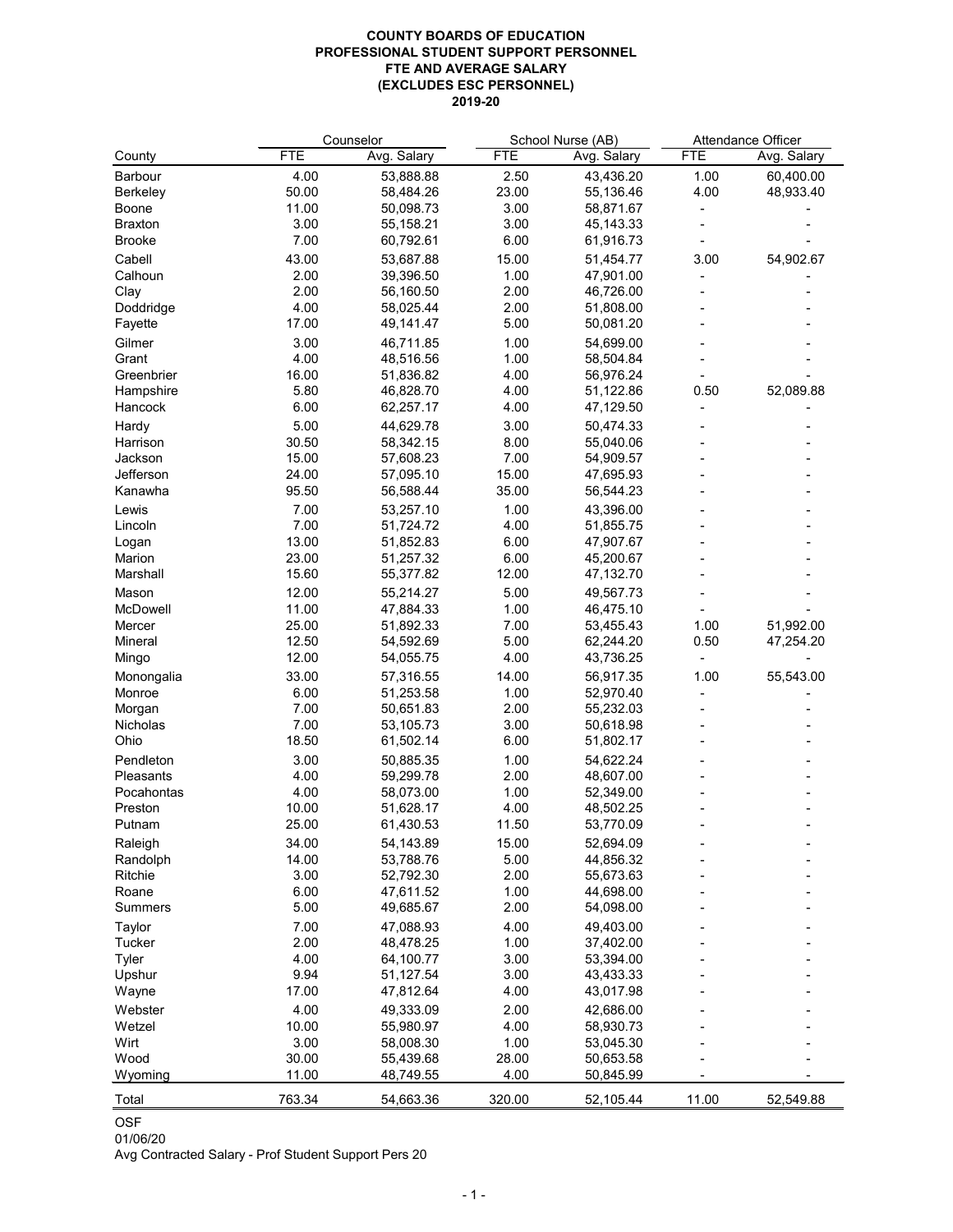## **COUNTY BOARDS OF EDUCATION PROFESSIONAL STUDENT SUPPORT PERSONNEL FTE AND AVERAGE SALARY (EXCLUDES ESC PERSONNEL) 2019-20**

|                 |            | Counselor   | School Nurse (AB) |             | Attendance Officer |             |
|-----------------|------------|-------------|-------------------|-------------|--------------------|-------------|
| County          | <b>FTE</b> | Avg. Salary | <b>FTE</b>        | Avg. Salary | <b>FTE</b>         | Avg. Salary |
| <b>Barbour</b>  | 4.00       | 53,888.88   | 2.50              | 43,436.20   | 1.00               | 60,400.00   |
| <b>Berkeley</b> | 50.00      | 58,484.26   | 23.00             | 55,136.46   | 4.00               | 48,933.40   |
| <b>Boone</b>    | 11.00      | 50,098.73   | 3.00              | 58,871.67   |                    |             |
| <b>Braxton</b>  | 3.00       | 55,158.21   | 3.00              | 45,143.33   |                    |             |
| <b>Brooke</b>   | 7.00       | 60,792.61   | 6.00              | 61,916.73   |                    |             |
| Cabell          | 43.00      | 53,687.88   | 15.00             | 51,454.77   | 3.00               | 54,902.67   |
| Calhoun         | 2.00       | 39,396.50   | 1.00              | 47,901.00   |                    |             |
| Clay            | 2.00       | 56,160.50   | 2.00              | 46,726.00   |                    |             |
| Doddridge       | 4.00       | 58,025.44   | 2.00              | 51,808.00   |                    |             |
| Fayette         | 17.00      | 49,141.47   | 5.00              | 50,081.20   |                    |             |
| Gilmer          | 3.00       | 46,711.85   | 1.00              | 54,699.00   |                    |             |
| Grant           | 4.00       | 48,516.56   | 1.00              | 58,504.84   |                    |             |
| Greenbrier      | 16.00      | 51,836.82   | 4.00              | 56,976.24   |                    |             |
| Hampshire       | 5.80       | 46,828.70   | 4.00              | 51,122.86   | 0.50               | 52,089.88   |
| Hancock         | 6.00       | 62,257.17   | 4.00              | 47,129.50   |                    |             |
|                 |            |             |                   |             |                    |             |
| Hardy           | 5.00       | 44,629.78   | 3.00              | 50,474.33   |                    |             |
| Harrison        | 30.50      | 58,342.15   | 8.00              | 55,040.06   |                    |             |
| Jackson         | 15.00      | 57,608.23   | 7.00              | 54,909.57   |                    |             |
| Jefferson       | 24.00      | 57,095.10   | 15.00             | 47,695.93   |                    |             |
| Kanawha         | 95.50      | 56,588.44   | 35.00             | 56,544.23   |                    |             |
| Lewis           | 7.00       | 53,257.10   | 1.00              | 43,396.00   |                    |             |
| Lincoln         | 7.00       | 51,724.72   | 4.00              | 51,855.75   |                    |             |
| Logan           | 13.00      | 51,852.83   | 6.00              | 47,907.67   |                    |             |
| Marion          | 23.00      | 51,257.32   | 6.00              | 45,200.67   |                    |             |
| Marshall        | 15.60      | 55,377.82   | 12.00             | 47,132.70   |                    |             |
| Mason           | 12.00      | 55,214.27   | 5.00              | 49,567.73   |                    |             |
| McDowell        | 11.00      | 47,884.33   | 1.00              | 46,475.10   |                    |             |
| Mercer          | 25.00      | 51,892.33   | 7.00              | 53,455.43   | 1.00               | 51,992.00   |
| <b>Mineral</b>  | 12.50      | 54,592.69   | 5.00              | 62,244.20   | 0.50               | 47,254.20   |
| Mingo           | 12.00      | 54,055.75   | 4.00              | 43,736.25   |                    |             |
| Monongalia      | 33.00      | 57,316.55   | 14.00             | 56,917.35   | 1.00               | 55,543.00   |
| Monroe          | 6.00       | 51,253.58   | 1.00              | 52,970.40   |                    |             |
| Morgan          | 7.00       | 50,651.83   | 2.00              | 55,232.03   |                    |             |
| <b>Nicholas</b> | 7.00       | 53,105.73   | 3.00              | 50,618.98   |                    |             |
| Ohio            | 18.50      | 61,502.14   | 6.00              | 51,802.17   |                    |             |
| Pendleton       | 3.00       | 50,885.35   | 1.00              | 54,622.24   |                    |             |
| Pleasants       | 4.00       | 59,299.78   | 2.00              | 48,607.00   |                    |             |
| Pocahontas      | 4.00       | 58,073.00   | 1.00              | 52,349.00   |                    |             |
| Preston         | 10.00      | 51,628.17   | 4.00              | 48,502.25   |                    |             |
| Putnam          | 25.00      | 61,430.53   | 11.50             | 53,770.09   |                    |             |
| Raleigh         | 34.00      | 54,143.89   | 15.00             | 52,694.09   |                    |             |
| Randolph        | 14.00      | 53,788.76   | 5.00              | 44,856.32   |                    |             |
| Ritchie         | 3.00       | 52,792.30   | 2.00              | 55,673.63   |                    |             |
| Roane           | 6.00       | 47,611.52   | 1.00              | 44,698.00   |                    |             |
| <b>Summers</b>  | 5.00       | 49,685.67   | 2.00              | 54,098.00   |                    |             |
| <b>Taylor</b>   | 7.00       | 47,088.93   | 4.00              | 49,403.00   |                    |             |
| <b>Tucker</b>   | 2.00       | 48,478.25   | 1.00              | 37,402.00   |                    |             |
| <b>Tyler</b>    | 4.00       | 64,100.77   | 3.00              | 53,394.00   |                    |             |
| Upshur          | 9.94       | 51,127.54   | 3.00              | 43,433.33   |                    |             |
| Wayne           | 17.00      | 47,812.64   | 4.00              | 43,017.98   |                    |             |
| Webster         | 4.00       | 49,333.09   | 2.00              | 42,686.00   |                    |             |
| Wetzel          | 10.00      | 55,980.97   | 4.00              | 58,930.73   |                    |             |
| Wirt            | 3.00       | 58,008.30   | 1.00              | 53,045.30   |                    |             |
| Wood            | 30.00      | 55,439.68   | 28.00             | 50,653.58   |                    |             |
| Wyoming         | 11.00      | 48,749.55   | 4.00              | 50,845.99   |                    |             |
| Total           | 763.34     | 54,663.36   | 320.00            | 52,105.44   | 11.00              | 52,549.88   |

OSF

01/06/20

Avg Contracted Salary - Prof Student Support Pers 20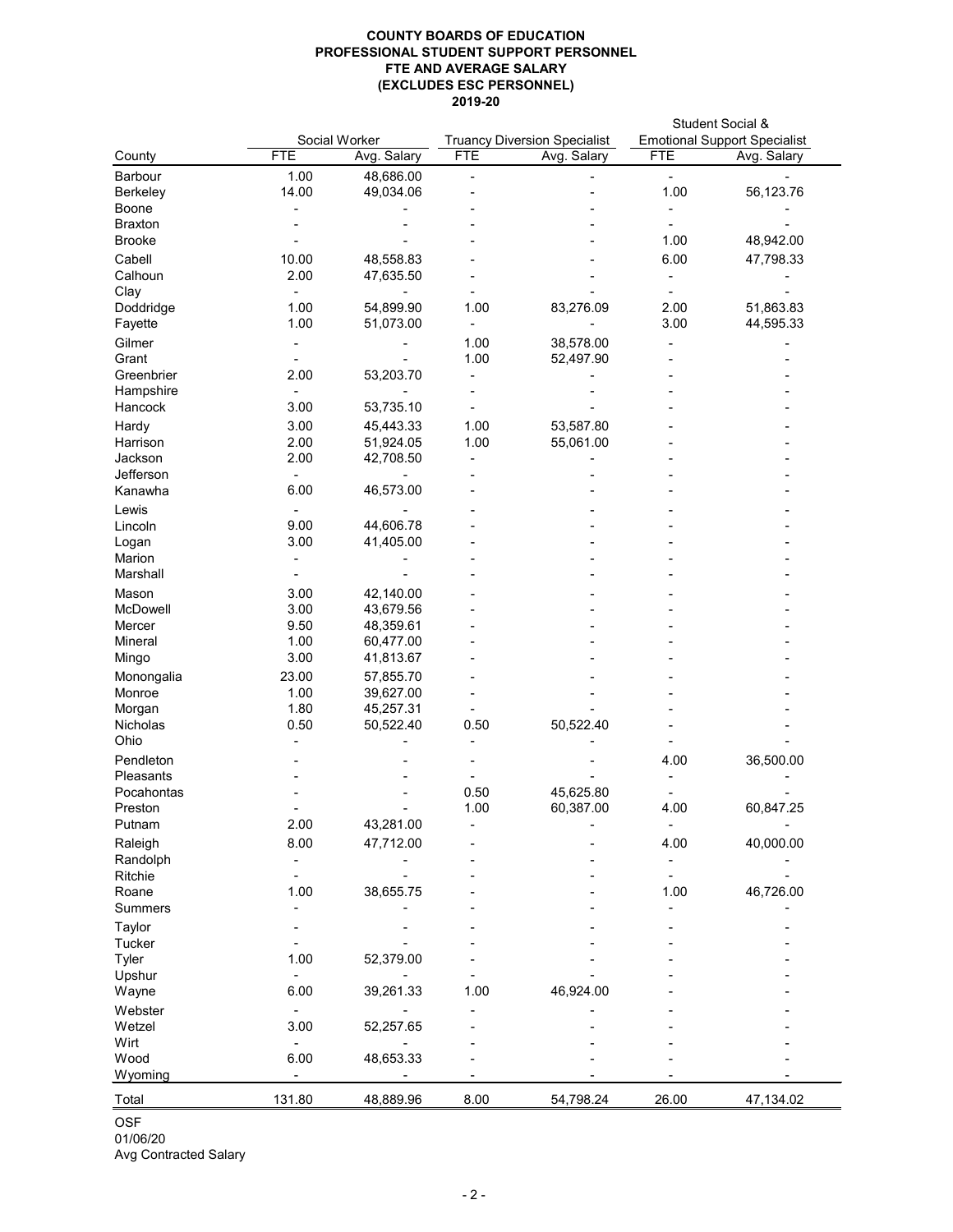## **COUNTY BOARDS OF EDUCATION PROFESSIONAL STUDENT SUPPORT PERSONNEL FTE AND AVERAGE SALARY (EXCLUDES ESC PERSONNEL) 2019-20**

Avg Contracted Salary

| Social Worker<br><b>Truancy Diversion Specialist</b><br><b>FTE</b><br><b>FTE</b><br>Avg. Salary<br>County<br>Avg. Salary<br>1.00<br><b>Barbour</b><br>48,686.00<br>14.00<br>49,034.06<br><b>Berkeley</b><br><b>Boone</b><br><b>Braxton</b><br><b>Brooke</b><br>Cabell<br>10.00<br>48,558.83<br>Calhoun<br>2.00<br>47,635.50<br>Clay<br>Doddridge<br>1.00<br>54,899.90<br>1.00<br>83,276.09<br>1.00<br>Fayette<br>51,073.00<br>Gilmer<br>1.00<br>38,578.00<br>1.00<br>Grant<br>52,497.90<br>2.00<br>Greenbrier<br>53,203.70<br>Hampshire<br>53,735.10<br>Hancock<br>3.00<br>Hardy<br>3.00<br>45,443.33<br>1.00<br>53,587.80<br>2.00<br>1.00<br>51,924.05<br>55,061.00<br>Harrison<br>Jackson<br>2.00<br>42,708.50<br>Jefferson<br>6.00<br>46,573.00<br>Kanawha<br>Lewis<br>44,606.78<br>9.00<br>Lincoln<br>3.00<br>41,405.00<br>Logan<br>Marion<br>Marshall<br>3.00<br>42,140.00<br>Mason<br>McDowell<br>3.00<br>43,679.56<br>9.50<br>48,359.61<br>Mercer<br>1.00<br>60,477.00<br>Mineral<br>3.00<br>Mingo<br>41,813.67<br>23.00<br>57,855.70<br>Monongalia<br>1.00<br>39,627.00<br>Monroe<br>1.80<br>45,257.31<br>Morgan<br>50,522.40<br>0.50<br>50,522.40<br>0.50<br>Nicholas<br>Ohio<br>Pendleton<br>Pleasants<br>Pocahontas<br>0.50<br>45,625.80<br>1.00<br>60,387.00<br>Preston<br>2.00<br>43,281.00<br>Putnam<br>8.00<br>47,712.00<br>Raleigh<br>Randolph<br>Ritchie<br>38,655.75<br>1.00<br>Roane<br><b>Summers</b><br><b>Taylor</b><br><b>Tucker</b><br>1.00<br><b>Tyler</b><br>52,379.00<br>Upshur<br>6.00<br>1.00<br>46,924.00<br>39,261.33<br>Wayne<br>Webster<br>3.00<br>Wetzel<br>52,257.65<br>Wirt<br>6.00<br>48,653.33<br>Wood<br>Wyoming |            | <b>Student Social &amp;</b><br><b>Emotional Support Specialist</b> |  |
|---------------------------------------------------------------------------------------------------------------------------------------------------------------------------------------------------------------------------------------------------------------------------------------------------------------------------------------------------------------------------------------------------------------------------------------------------------------------------------------------------------------------------------------------------------------------------------------------------------------------------------------------------------------------------------------------------------------------------------------------------------------------------------------------------------------------------------------------------------------------------------------------------------------------------------------------------------------------------------------------------------------------------------------------------------------------------------------------------------------------------------------------------------------------------------------------------------------------------------------------------------------------------------------------------------------------------------------------------------------------------------------------------------------------------------------------------------------------------------------------------------------------------------------------------------------------------------------------------------------------------------------------------------|------------|--------------------------------------------------------------------|--|
|                                                                                                                                                                                                                                                                                                                                                                                                                                                                                                                                                                                                                                                                                                                                                                                                                                                                                                                                                                                                                                                                                                                                                                                                                                                                                                                                                                                                                                                                                                                                                                                                                                                         | <b>FTE</b> | Avg. Salary                                                        |  |
|                                                                                                                                                                                                                                                                                                                                                                                                                                                                                                                                                                                                                                                                                                                                                                                                                                                                                                                                                                                                                                                                                                                                                                                                                                                                                                                                                                                                                                                                                                                                                                                                                                                         |            |                                                                    |  |
|                                                                                                                                                                                                                                                                                                                                                                                                                                                                                                                                                                                                                                                                                                                                                                                                                                                                                                                                                                                                                                                                                                                                                                                                                                                                                                                                                                                                                                                                                                                                                                                                                                                         | 1.00       | 56,123.76                                                          |  |
|                                                                                                                                                                                                                                                                                                                                                                                                                                                                                                                                                                                                                                                                                                                                                                                                                                                                                                                                                                                                                                                                                                                                                                                                                                                                                                                                                                                                                                                                                                                                                                                                                                                         |            |                                                                    |  |
|                                                                                                                                                                                                                                                                                                                                                                                                                                                                                                                                                                                                                                                                                                                                                                                                                                                                                                                                                                                                                                                                                                                                                                                                                                                                                                                                                                                                                                                                                                                                                                                                                                                         |            |                                                                    |  |
|                                                                                                                                                                                                                                                                                                                                                                                                                                                                                                                                                                                                                                                                                                                                                                                                                                                                                                                                                                                                                                                                                                                                                                                                                                                                                                                                                                                                                                                                                                                                                                                                                                                         | 1.00       | 48,942.00                                                          |  |
|                                                                                                                                                                                                                                                                                                                                                                                                                                                                                                                                                                                                                                                                                                                                                                                                                                                                                                                                                                                                                                                                                                                                                                                                                                                                                                                                                                                                                                                                                                                                                                                                                                                         | 6.00       | 47,798.33                                                          |  |
|                                                                                                                                                                                                                                                                                                                                                                                                                                                                                                                                                                                                                                                                                                                                                                                                                                                                                                                                                                                                                                                                                                                                                                                                                                                                                                                                                                                                                                                                                                                                                                                                                                                         |            |                                                                    |  |
|                                                                                                                                                                                                                                                                                                                                                                                                                                                                                                                                                                                                                                                                                                                                                                                                                                                                                                                                                                                                                                                                                                                                                                                                                                                                                                                                                                                                                                                                                                                                                                                                                                                         |            |                                                                    |  |
|                                                                                                                                                                                                                                                                                                                                                                                                                                                                                                                                                                                                                                                                                                                                                                                                                                                                                                                                                                                                                                                                                                                                                                                                                                                                                                                                                                                                                                                                                                                                                                                                                                                         | 2.00       | 51,863.83                                                          |  |
|                                                                                                                                                                                                                                                                                                                                                                                                                                                                                                                                                                                                                                                                                                                                                                                                                                                                                                                                                                                                                                                                                                                                                                                                                                                                                                                                                                                                                                                                                                                                                                                                                                                         | 3.00       | 44,595.33                                                          |  |
|                                                                                                                                                                                                                                                                                                                                                                                                                                                                                                                                                                                                                                                                                                                                                                                                                                                                                                                                                                                                                                                                                                                                                                                                                                                                                                                                                                                                                                                                                                                                                                                                                                                         |            |                                                                    |  |
|                                                                                                                                                                                                                                                                                                                                                                                                                                                                                                                                                                                                                                                                                                                                                                                                                                                                                                                                                                                                                                                                                                                                                                                                                                                                                                                                                                                                                                                                                                                                                                                                                                                         |            |                                                                    |  |
|                                                                                                                                                                                                                                                                                                                                                                                                                                                                                                                                                                                                                                                                                                                                                                                                                                                                                                                                                                                                                                                                                                                                                                                                                                                                                                                                                                                                                                                                                                                                                                                                                                                         |            |                                                                    |  |
|                                                                                                                                                                                                                                                                                                                                                                                                                                                                                                                                                                                                                                                                                                                                                                                                                                                                                                                                                                                                                                                                                                                                                                                                                                                                                                                                                                                                                                                                                                                                                                                                                                                         |            |                                                                    |  |
|                                                                                                                                                                                                                                                                                                                                                                                                                                                                                                                                                                                                                                                                                                                                                                                                                                                                                                                                                                                                                                                                                                                                                                                                                                                                                                                                                                                                                                                                                                                                                                                                                                                         |            |                                                                    |  |
|                                                                                                                                                                                                                                                                                                                                                                                                                                                                                                                                                                                                                                                                                                                                                                                                                                                                                                                                                                                                                                                                                                                                                                                                                                                                                                                                                                                                                                                                                                                                                                                                                                                         |            |                                                                    |  |
|                                                                                                                                                                                                                                                                                                                                                                                                                                                                                                                                                                                                                                                                                                                                                                                                                                                                                                                                                                                                                                                                                                                                                                                                                                                                                                                                                                                                                                                                                                                                                                                                                                                         |            |                                                                    |  |
|                                                                                                                                                                                                                                                                                                                                                                                                                                                                                                                                                                                                                                                                                                                                                                                                                                                                                                                                                                                                                                                                                                                                                                                                                                                                                                                                                                                                                                                                                                                                                                                                                                                         |            |                                                                    |  |
|                                                                                                                                                                                                                                                                                                                                                                                                                                                                                                                                                                                                                                                                                                                                                                                                                                                                                                                                                                                                                                                                                                                                                                                                                                                                                                                                                                                                                                                                                                                                                                                                                                                         |            |                                                                    |  |
|                                                                                                                                                                                                                                                                                                                                                                                                                                                                                                                                                                                                                                                                                                                                                                                                                                                                                                                                                                                                                                                                                                                                                                                                                                                                                                                                                                                                                                                                                                                                                                                                                                                         |            |                                                                    |  |
|                                                                                                                                                                                                                                                                                                                                                                                                                                                                                                                                                                                                                                                                                                                                                                                                                                                                                                                                                                                                                                                                                                                                                                                                                                                                                                                                                                                                                                                                                                                                                                                                                                                         |            |                                                                    |  |
|                                                                                                                                                                                                                                                                                                                                                                                                                                                                                                                                                                                                                                                                                                                                                                                                                                                                                                                                                                                                                                                                                                                                                                                                                                                                                                                                                                                                                                                                                                                                                                                                                                                         |            |                                                                    |  |
|                                                                                                                                                                                                                                                                                                                                                                                                                                                                                                                                                                                                                                                                                                                                                                                                                                                                                                                                                                                                                                                                                                                                                                                                                                                                                                                                                                                                                                                                                                                                                                                                                                                         |            |                                                                    |  |
|                                                                                                                                                                                                                                                                                                                                                                                                                                                                                                                                                                                                                                                                                                                                                                                                                                                                                                                                                                                                                                                                                                                                                                                                                                                                                                                                                                                                                                                                                                                                                                                                                                                         |            |                                                                    |  |
|                                                                                                                                                                                                                                                                                                                                                                                                                                                                                                                                                                                                                                                                                                                                                                                                                                                                                                                                                                                                                                                                                                                                                                                                                                                                                                                                                                                                                                                                                                                                                                                                                                                         |            |                                                                    |  |
|                                                                                                                                                                                                                                                                                                                                                                                                                                                                                                                                                                                                                                                                                                                                                                                                                                                                                                                                                                                                                                                                                                                                                                                                                                                                                                                                                                                                                                                                                                                                                                                                                                                         |            |                                                                    |  |
|                                                                                                                                                                                                                                                                                                                                                                                                                                                                                                                                                                                                                                                                                                                                                                                                                                                                                                                                                                                                                                                                                                                                                                                                                                                                                                                                                                                                                                                                                                                                                                                                                                                         |            |                                                                    |  |
|                                                                                                                                                                                                                                                                                                                                                                                                                                                                                                                                                                                                                                                                                                                                                                                                                                                                                                                                                                                                                                                                                                                                                                                                                                                                                                                                                                                                                                                                                                                                                                                                                                                         |            |                                                                    |  |
|                                                                                                                                                                                                                                                                                                                                                                                                                                                                                                                                                                                                                                                                                                                                                                                                                                                                                                                                                                                                                                                                                                                                                                                                                                                                                                                                                                                                                                                                                                                                                                                                                                                         |            |                                                                    |  |
|                                                                                                                                                                                                                                                                                                                                                                                                                                                                                                                                                                                                                                                                                                                                                                                                                                                                                                                                                                                                                                                                                                                                                                                                                                                                                                                                                                                                                                                                                                                                                                                                                                                         |            |                                                                    |  |
|                                                                                                                                                                                                                                                                                                                                                                                                                                                                                                                                                                                                                                                                                                                                                                                                                                                                                                                                                                                                                                                                                                                                                                                                                                                                                                                                                                                                                                                                                                                                                                                                                                                         |            |                                                                    |  |
|                                                                                                                                                                                                                                                                                                                                                                                                                                                                                                                                                                                                                                                                                                                                                                                                                                                                                                                                                                                                                                                                                                                                                                                                                                                                                                                                                                                                                                                                                                                                                                                                                                                         |            |                                                                    |  |
|                                                                                                                                                                                                                                                                                                                                                                                                                                                                                                                                                                                                                                                                                                                                                                                                                                                                                                                                                                                                                                                                                                                                                                                                                                                                                                                                                                                                                                                                                                                                                                                                                                                         |            |                                                                    |  |
|                                                                                                                                                                                                                                                                                                                                                                                                                                                                                                                                                                                                                                                                                                                                                                                                                                                                                                                                                                                                                                                                                                                                                                                                                                                                                                                                                                                                                                                                                                                                                                                                                                                         |            |                                                                    |  |
|                                                                                                                                                                                                                                                                                                                                                                                                                                                                                                                                                                                                                                                                                                                                                                                                                                                                                                                                                                                                                                                                                                                                                                                                                                                                                                                                                                                                                                                                                                                                                                                                                                                         |            |                                                                    |  |
|                                                                                                                                                                                                                                                                                                                                                                                                                                                                                                                                                                                                                                                                                                                                                                                                                                                                                                                                                                                                                                                                                                                                                                                                                                                                                                                                                                                                                                                                                                                                                                                                                                                         | 4.00       | 36,500.00                                                          |  |
|                                                                                                                                                                                                                                                                                                                                                                                                                                                                                                                                                                                                                                                                                                                                                                                                                                                                                                                                                                                                                                                                                                                                                                                                                                                                                                                                                                                                                                                                                                                                                                                                                                                         |            |                                                                    |  |
|                                                                                                                                                                                                                                                                                                                                                                                                                                                                                                                                                                                                                                                                                                                                                                                                                                                                                                                                                                                                                                                                                                                                                                                                                                                                                                                                                                                                                                                                                                                                                                                                                                                         |            |                                                                    |  |
|                                                                                                                                                                                                                                                                                                                                                                                                                                                                                                                                                                                                                                                                                                                                                                                                                                                                                                                                                                                                                                                                                                                                                                                                                                                                                                                                                                                                                                                                                                                                                                                                                                                         | 4.00       | 60,847.25                                                          |  |
|                                                                                                                                                                                                                                                                                                                                                                                                                                                                                                                                                                                                                                                                                                                                                                                                                                                                                                                                                                                                                                                                                                                                                                                                                                                                                                                                                                                                                                                                                                                                                                                                                                                         |            |                                                                    |  |
|                                                                                                                                                                                                                                                                                                                                                                                                                                                                                                                                                                                                                                                                                                                                                                                                                                                                                                                                                                                                                                                                                                                                                                                                                                                                                                                                                                                                                                                                                                                                                                                                                                                         | 4.00       | 40,000.00                                                          |  |
|                                                                                                                                                                                                                                                                                                                                                                                                                                                                                                                                                                                                                                                                                                                                                                                                                                                                                                                                                                                                                                                                                                                                                                                                                                                                                                                                                                                                                                                                                                                                                                                                                                                         |            |                                                                    |  |
|                                                                                                                                                                                                                                                                                                                                                                                                                                                                                                                                                                                                                                                                                                                                                                                                                                                                                                                                                                                                                                                                                                                                                                                                                                                                                                                                                                                                                                                                                                                                                                                                                                                         |            |                                                                    |  |
|                                                                                                                                                                                                                                                                                                                                                                                                                                                                                                                                                                                                                                                                                                                                                                                                                                                                                                                                                                                                                                                                                                                                                                                                                                                                                                                                                                                                                                                                                                                                                                                                                                                         | 1.00       | 46,726.00                                                          |  |
|                                                                                                                                                                                                                                                                                                                                                                                                                                                                                                                                                                                                                                                                                                                                                                                                                                                                                                                                                                                                                                                                                                                                                                                                                                                                                                                                                                                                                                                                                                                                                                                                                                                         |            |                                                                    |  |
|                                                                                                                                                                                                                                                                                                                                                                                                                                                                                                                                                                                                                                                                                                                                                                                                                                                                                                                                                                                                                                                                                                                                                                                                                                                                                                                                                                                                                                                                                                                                                                                                                                                         |            |                                                                    |  |
|                                                                                                                                                                                                                                                                                                                                                                                                                                                                                                                                                                                                                                                                                                                                                                                                                                                                                                                                                                                                                                                                                                                                                                                                                                                                                                                                                                                                                                                                                                                                                                                                                                                         |            |                                                                    |  |
|                                                                                                                                                                                                                                                                                                                                                                                                                                                                                                                                                                                                                                                                                                                                                                                                                                                                                                                                                                                                                                                                                                                                                                                                                                                                                                                                                                                                                                                                                                                                                                                                                                                         |            |                                                                    |  |
|                                                                                                                                                                                                                                                                                                                                                                                                                                                                                                                                                                                                                                                                                                                                                                                                                                                                                                                                                                                                                                                                                                                                                                                                                                                                                                                                                                                                                                                                                                                                                                                                                                                         |            |                                                                    |  |
|                                                                                                                                                                                                                                                                                                                                                                                                                                                                                                                                                                                                                                                                                                                                                                                                                                                                                                                                                                                                                                                                                                                                                                                                                                                                                                                                                                                                                                                                                                                                                                                                                                                         |            |                                                                    |  |
|                                                                                                                                                                                                                                                                                                                                                                                                                                                                                                                                                                                                                                                                                                                                                                                                                                                                                                                                                                                                                                                                                                                                                                                                                                                                                                                                                                                                                                                                                                                                                                                                                                                         |            |                                                                    |  |
|                                                                                                                                                                                                                                                                                                                                                                                                                                                                                                                                                                                                                                                                                                                                                                                                                                                                                                                                                                                                                                                                                                                                                                                                                                                                                                                                                                                                                                                                                                                                                                                                                                                         |            |                                                                    |  |
|                                                                                                                                                                                                                                                                                                                                                                                                                                                                                                                                                                                                                                                                                                                                                                                                                                                                                                                                                                                                                                                                                                                                                                                                                                                                                                                                                                                                                                                                                                                                                                                                                                                         |            |                                                                    |  |
|                                                                                                                                                                                                                                                                                                                                                                                                                                                                                                                                                                                                                                                                                                                                                                                                                                                                                                                                                                                                                                                                                                                                                                                                                                                                                                                                                                                                                                                                                                                                                                                                                                                         |            |                                                                    |  |
|                                                                                                                                                                                                                                                                                                                                                                                                                                                                                                                                                                                                                                                                                                                                                                                                                                                                                                                                                                                                                                                                                                                                                                                                                                                                                                                                                                                                                                                                                                                                                                                                                                                         |            |                                                                    |  |
|                                                                                                                                                                                                                                                                                                                                                                                                                                                                                                                                                                                                                                                                                                                                                                                                                                                                                                                                                                                                                                                                                                                                                                                                                                                                                                                                                                                                                                                                                                                                                                                                                                                         | 26.00      | 47,134.02                                                          |  |
| 131.80<br>8.00<br>48,889.96<br>54,798.24<br>Total<br><b>OSF</b>                                                                                                                                                                                                                                                                                                                                                                                                                                                                                                                                                                                                                                                                                                                                                                                                                                                                                                                                                                                                                                                                                                                                                                                                                                                                                                                                                                                                                                                                                                                                                                                         |            |                                                                    |  |